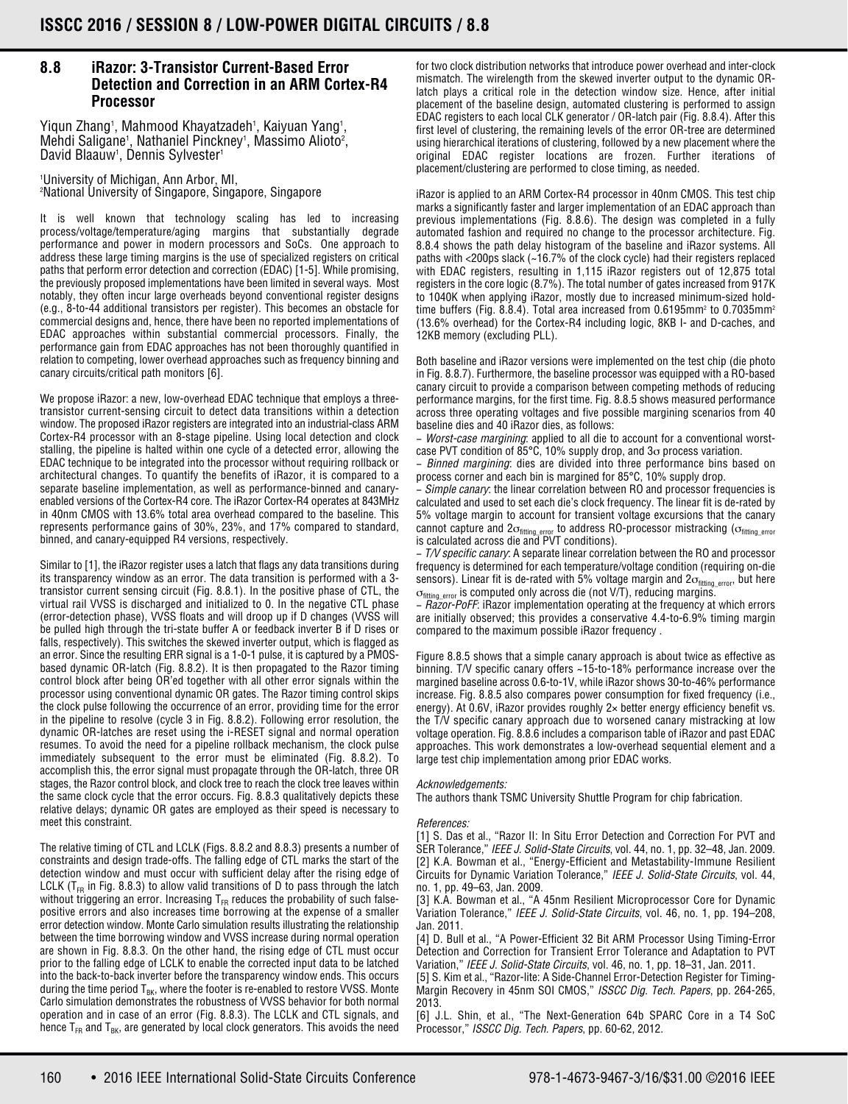## **8.8 iRazor: 3-Transistor Current-Based Error Detection and Correction in an ARM Cortex-R4 Processor**

Yiqun Zhang<sup>1</sup>, Mahmood Khayatzadeh<sup>1</sup>, Kaiyuan Yang<sup>1</sup>, Mehdi Saligane<sup>1</sup>, Nathaniel Pinckney<sup>1</sup>, Massimo Alioto<sup>2</sup>, David Blaauw<sup>1</sup>, Dennis Sylvester<sup>1</sup>

1 University of Michigan, Ann Arbor, MI, 2 National University of Singapore, Singapore, Singapore

It is well known that technology scaling has led to increasing process/voltage/temperature/aging margins that substantially degrade performance and power in modern processors and SoCs. One approach to address these large timing margins is the use of specialized registers on critical paths that perform error detection and correction (EDAC) [1-5]. While promising, the previously proposed implementations have been limited in several ways. Most notably, they often incur large overheads beyond conventional register designs (e.g., 8-to-44 additional transistors per register). This becomes an obstacle for commercial designs and, hence, there have been no reported implementations of EDAC approaches within substantial commercial processors. Finally, the performance gain from EDAC approaches has not been thoroughly quantified in relation to competing, lower overhead approaches such as frequency binning and canary circuits/critical path monitors [6].

We propose iRazor: a new, low-overhead EDAC technique that employs a threetransistor current-sensing circuit to detect data transitions within a detection window. The proposed iRazor registers are integrated into an industrial-class ARM Cortex-R4 processor with an 8-stage pipeline. Using local detection and clock stalling, the pipeline is halted within one cycle of a detected error, allowing the EDAC technique to be integrated into the processor without requiring rollback or architectural changes. To quantify the benefits of iRazor, it is compared to a separate baseline implementation, as well as performance-binned and canaryenabled versions of the Cortex-R4 core. The iRazor Cortex-R4 operates at 843MHz in 40nm CMOS with 13.6% total area overhead compared to the baseline. This represents performance gains of 30%, 23%, and 17% compared to standard, binned, and canary-equipped R4 versions, respectively.

Similar to [1], the iRazor register uses a latch that flags any data transitions during its transparency window as an error. The data transition is performed with a 3 transistor current sensing circuit (Fig. 8.8.1). In the positive phase of CTL, the virtual rail VVSS is discharged and initialized to 0. In the negative CTL phase (error-detection phase), VVSS floats and will droop up if D changes (VVSS will be pulled high through the tri-state buffer A or feedback inverter B if D rises or falls, respectively). This switches the skewed inverter output, which is flagged as an error. Since the resulting ERR signal is a 1-0-1 pulse, it is captured by a PMOSbased dynamic OR-latch (Fig. 8.8.2). It is then propagated to the Razor timing control block after being OR'ed together with all other error signals within the processor using conventional dynamic OR gates. The Razor timing control skips the clock pulse following the occurrence of an error, providing time for the error in the pipeline to resolve (cycle 3 in Fig. 8.8.2). Following error resolution, the dynamic OR-latches are reset using the i-RESET signal and normal operation resumes. To avoid the need for a pipeline rollback mechanism, the clock pulse immediately subsequent to the error must be eliminated (Fig. 8.8.2). To accomplish this, the error signal must propagate through the OR-latch, three OR stages, the Razor control block, and clock tree to reach the clock tree leaves within the same clock cycle that the error occurs. Fig. 8.8.3 qualitatively depicts these relative delays; dynamic OR gates are employed as their speed is necessary to meet this constraint.

The relative timing of CTL and LCLK (Figs. 8.8.2 and 8.8.3) presents a number of constraints and design trade-offs. The falling edge of CTL marks the start of the detection window and must occur with sufficient delay after the rising edge of LCLK ( $T_{FR}$  in Fig. 8.8.3) to allow valid transitions of D to pass through the latch without triggering an error. Increasing  $T_{FR}$  reduces the probability of such falsepositive errors and also increases time borrowing at the expense of a smaller error detection window. Monte Carlo simulation results illustrating the relationship between the time borrowing window and VVSS increase during normal operation are shown in Fig. 8.8.3. On the other hand, the rising edge of CTL must occur prior to the falling edge of LCLK to enable the corrected input data to be latched into the back-to-back inverter before the transparency window ends. This occurs during the time period  $T_{BK}$ , where the footer is re-enabled to restore VVSS. Monte Carlo simulation demonstrates the robustness of VVSS behavior for both normal operation and in case of an error (Fig. 8.8.3). The LCLK and CTL signals, and hence  $T_{FR}$  and  $T_{BK}$ , are generated by local clock generators. This avoids the need

for two clock distribution networks that introduce power overhead and inter-clock mismatch. The wirelength from the skewed inverter output to the dynamic ORlatch plays a critical role in the detection window size. Hence, after initial placement of the baseline design, automated clustering is performed to assign EDAC registers to each local CLK generator / OR-latch pair (Fig. 8.8.4). After this first level of clustering, the remaining levels of the error OR-tree are determined using hierarchical iterations of clustering, followed by a new placement where the original EDAC register locations are frozen. Further iterations of placement/clustering are performed to close timing, as needed.

iRazor is applied to an ARM Cortex-R4 processor in 40nm CMOS. This test chip marks a significantly faster and larger implementation of an EDAC approach than previous implementations (Fig. 8.8.6). The design was completed in a fully automated fashion and required no change to the processor architecture. Fig. 8.8.4 shows the path delay histogram of the baseline and iRazor systems. All paths with <200ps slack (~16.7% of the clock cycle) had their registers replaced with EDAC registers, resulting in 1,115 iRazor registers out of 12,875 total registers in the core logic (8.7%). The total number of gates increased from 917K to 1040K when applying iRazor, mostly due to increased minimum-sized holdtime buffers (Fig. 8.8.4). Total area increased from 0.6195mm<sup>2</sup> to 0.7035mm<sup>2</sup> (13.6% overhead) for the Cortex-R4 including logic, 8KB I- and D-caches, and 12KB memory (excluding PLL).

Both baseline and iRazor versions were implemented on the test chip (die photo in Fig. 8.8.7). Furthermore, the baseline processor was equipped with a RO-based canary circuit to provide a comparison between competing methods of reducing performance margins, for the first time. Fig. 8.8.5 shows measured performance across three operating voltages and five possible margining scenarios from 40 baseline dies and 40 iRazor dies, as follows:

− *Worst-case margining*: applied to all die to account for a conventional worstcase PVT condition of 85°C, 10% supply drop, and  $3\sigma$  process variation.

− *Binned margining*: dies are divided into three performance bins based on process corner and each bin is margined for 85°C, 10% supply drop.

− *Simple canary*: the linear correlation between RO and processor frequencies is calculated and used to set each die's clock frequency. The linear fit is de-rated by 5% voltage margin to account for transient voltage excursions that the canary cannot capture and 2 $\sigma_{\rm fitting\_error}$  to address RO-processor mistracking ( $\sigma_{\rm fitting\_error}$ <br>is calculated across die and PVT conditions).

− *T/V specific canary*: A separate linear correlation between the RO and processor frequency is determined for each temperature/voltage condition (requiring on-die sensors). Linear fit is de-rated with 5% voltage margin and  $2\sigma_{fitting\_error}$ , but here  $\sigma_{\text{fitting\_error}}$  is computed only across die (not V/T), reducing margins.

− *Razor-PoFF*: iRazor implementation operating at the frequency at which errors are initially observed; this provides a conservative 4.4-to-6.9% timing margin compared to the maximum possible iRazor frequency .

Figure 8.8.5 shows that a simple canary approach is about twice as effective as binning. T/V specific canary offers ~15-to-18% performance increase over the margined baseline across 0.6-to-1V, while iRazor shows 30-to-46% performance increase. Fig. 8.8.5 also compares power consumption for fixed frequency (i.e., energy). At 0.6V, iRazor provides roughly 2× better energy efficiency benefit vs. the T/V specific canary approach due to worsened canary mistracking at low voltage operation. Fig. 8.8.6 includes a comparison table of iRazor and past EDAC approaches. This work demonstrates a low-overhead sequential element and a large test chip implementation among prior EDAC works.

## *Acknowledgements:*

The authors thank TSMC University Shuttle Program for chip fabrication.

## *References:*

[1] S. Das et al., "Razor II: In Situ Error Detection and Correction For PVT and SER Tolerance," *IEEE J. Solid-State Circuits*, vol. 44, no. 1, pp. 32–48, Jan. 2009. [2] K.A. Bowman et al., "Energy-Efficient and Metastability-Immune Resilient Circuits for Dynamic Variation Tolerance," *IEEE J. Solid-State Circuits*, vol. 44, no. 1, pp. 49–63, Jan. 2009.

[3] K.A. Bowman et al., "A 45nm Resilient Microprocessor Core for Dynamic Variation Tolerance," *IEEE J. Solid-State Circuits*, vol. 46, no. 1, pp. 194–208, Jan. 2011.

[4] D. Bull et al., "A Power-Efficient 32 Bit ARM Processor Using Timing-Error Detection and Correction for Transient Error Tolerance and Adaptation to PVT Variation," *IEEE J. Solid-State Circuits*, vol. 46, no. 1, pp. 18–31, Jan. 2011.

[5] S. Kim et al., "Razor-lite: A Side-Channel Error-Detection Register for Timing-Margin Recovery in 45nm SOI CMOS," *ISSCC Dig. Tech. Papers*, pp. 264-265, 2013.

[6] J.L. Shin, et al., "The Next-Generation 64b SPARC Core in a T4 SoC Processor," *ISSCC Dig. Tech. Papers*, pp. 60-62, 2012.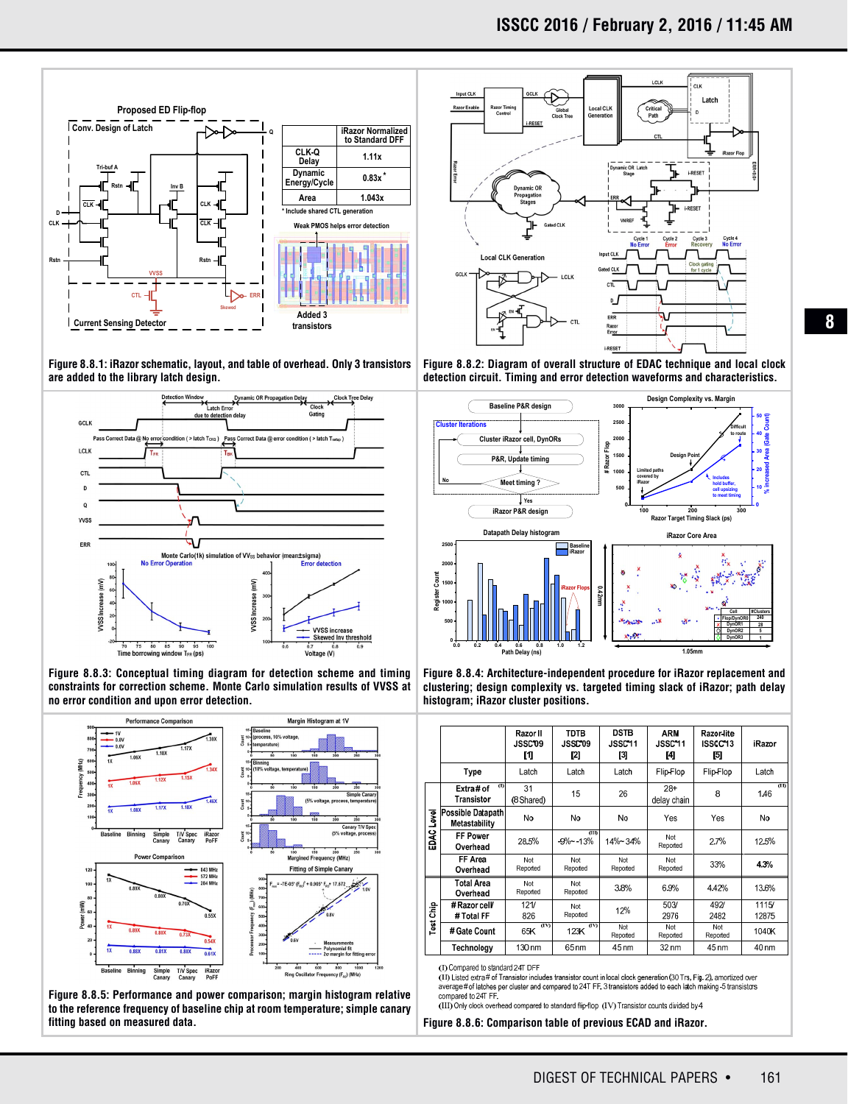

**Figure 8.8.1: iRazor schematic, layout, and table of overhead. Only 3 transistors are added to the library latch design.**



**Figure 8.8.3: Conceptual timing diagram for detection scheme and timing constraints for correction scheme. Monte Carlo simulation results of VVSS at no error condition and upon error detection.**



**Figure 8.8.5: Performance and power comparison; margin histogram relative to the reference frequency of baseline chip at room temperature; simple canary fitting based on measured data. Figure 8.8.6: Comparison table of previous ECAD and iRazor.**



**Figure 8.8.2: Diagram of overall structure of EDAC technique and local clock detection circuit. Timing and error detection waveforms and characteristics.**



**Figure 8.8.4: Architecture-independent procedure for iRazor replacement and clustering; design complexity vs. targeted timing slack of iRazor; path delay histogram; iRazor cluster positions.**

|                |                                           | Razor II<br><b>JSSC 09</b> | TDTB<br><b>JSSCO9</b> | <b>DSTB</b><br>JSSC11 | <b>ARM</b><br>JSSC11 | Razor-lite<br>ISSCC13 | Razor                  |
|----------------|-------------------------------------------|----------------------------|-----------------------|-----------------------|----------------------|-----------------------|------------------------|
|                |                                           | M                          | [2]                   | [3]                   | [4]                  | [5]                   |                        |
|                | Type                                      | Latch                      | Latch                 | Latch                 | Flip-Flop            | Flip-Flop             | Latch                  |
| Level<br>EDAC  | э<br>Extra#of<br>Transistor               | 31<br>(8 Shared)           | 15                    | 26                    | $28+$<br>delay chain | 8                     | $\overline{m}$<br>1.46 |
|                | <b>Possible Datapath</b><br>Metastability | No                         | No                    | No                    | Yes                  | Yes                   | No                     |
|                | FF Power<br>Overhead                      | 28.5%                      | пn<br>$-9% - 13%$     | 14%~34%               | Not<br>Reported      | 2.7%                  | 12.5%                  |
|                | FF Area<br>Overhead                       | Not<br>Reported            | Not<br>Reported       | Not<br>Reported       | Not<br>Reported      | 33%                   | 4.3%                   |
| å<br>Tast<br>T | <b>Total Area</b><br>Overhead             | Not<br>Reported            | Not<br>Reported       | 3.8%                  | 6.9%                 | 4.42%                 | 13.6%                  |
|                | # Razor cell<br># Total FF                | 121/<br>826                | Not<br>Reported       | 12%                   | 503/<br>2976         | 492/<br>2482          | 1115/<br>12875         |
|                | # Gate Count                              | (IV)<br>65K                | $\omega$<br>123K      | Not<br>Reported       | Not<br>Reported      | Not<br>Reported       | 1040K                  |
|                | Technology                                | 130 nm                     | 65 nm                 | 45 nm                 | 32 nm                | 45 nm                 | 40 nm                  |

(I) Compared to standard 24T DFF

(ID Listed extra # of Transistor includes transistor count in local clock generation (30 Trs. Fig. 2), amortized over average # of latches per cluster and compared to 24T FF. 3 transistors added to each latch making -5 transistors compared to 24T FF

(III) Only clock overhead compared to standard flip-flop (IV) Transistor counts divided by 4